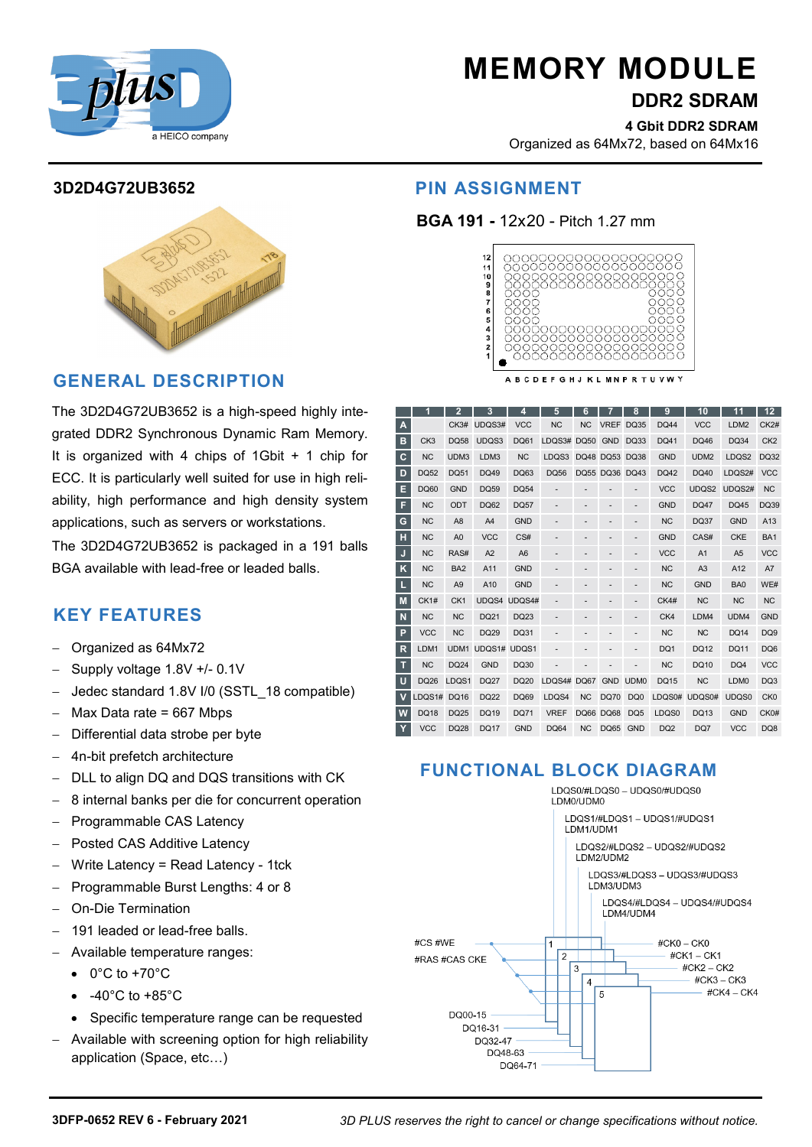

# **MEMORY MODULE**

**DDR2 SDRAM** 

**4 Gbit DDR2 SDRAM** Organized as 64Mx72, based on 64Mx16

# **3D2D4G72UB3652**

# **GENERAL DESCRIPTION**

The 3D2D4G72UB3652 is a high-speed highly integrated DDR2 Synchronous Dynamic Ram Memory. It is organized with 4 chips of 1Gbit + 1 chip for ECC. It is particularly well suited for use in high reliability, high performance and high density system applications, such as servers or workstations.

The 3D2D4G72UB3652 is packaged in a 191 balls BGA available with lead-free or leaded balls.

# **KEY FEATURES**

- Organized as 64Mx72
- Supply voltage 1.8V +/- 0.1V
- Jedec standard 1.8V I/0 (SSTL\_18 compatible)
- Max Data rate = 667 Mbps
- Differential data strobe per byte
- 4n-bit prefetch architecture
- DLL to align DQ and DQS transitions with CK
- 8 internal banks per die for concurrent operation
- Programmable CAS Latency
- Posted CAS Additive Latency
- Write Latency = Read Latency 1tck
- Programmable Burst Lengths: 4 or 8
- On-Die Termination
- 191 leaded or lead-free balls.
- Available temperature ranges:
	- $\bullet$  0°C to +70°C
	- -40°C to +85°C
	- Specific temperature range can be requested
- Available with screening option for high reliability application (Space, etc…)

# **PIN ASSIGNMENT**

### **BGA 191 -** 12x20 - Pitch 1.27 mm



|              |                 | 2               | 3              | 4              | 5                             | 6           |                  | 8                | 9               | 10               | 11               | $12 \overline{ }$ |
|--------------|-----------------|-----------------|----------------|----------------|-------------------------------|-------------|------------------|------------------|-----------------|------------------|------------------|-------------------|
| A            |                 |                 | CK3# UDQS3#    | <b>VCC</b>     | <b>NC</b>                     | <b>NC</b>   | <b>VREF</b>      | <b>DQ35</b>      | <b>DQ44</b>     | <b>VCC</b>       | LDM2             | <b>CK2#</b>       |
| в            | CK <sub>3</sub> | <b>DQ58</b>     | UDQS3          | <b>DQ61</b>    | LD <sub>Q</sub> <sub>3#</sub> | <b>DQ50</b> | <b>GND</b>       | <b>DQ33</b>      | <b>DQ41</b>     | DQ46             | <b>DQ34</b>      | CK <sub>2</sub>   |
| c            | <b>NC</b>       | UDM3            | LDM3           | <b>NC</b>      | LDQS3                         |             | DQ48 DQ53        | <b>DQ38</b>      | <b>GND</b>      | UDM <sub>2</sub> | LDQS2            | <b>DQ32</b>       |
| D            | <b>DQ52</b>     | <b>DQ51</b>     | <b>DQ49</b>    | DQ63           | <b>DQ56</b>                   |             | DQ55 DQ36 DQ43   |                  | <b>DQ42</b>     | <b>DQ40</b>      | LDQS2#           | <b>VCC</b>        |
| E            | <b>DQ60</b>     | <b>GND</b>      | <b>DQ59</b>    | <b>DQ54</b>    |                               |             |                  |                  | <b>VCC</b>      | UDQS2            | UDQS2#           | <b>NC</b>         |
| F            | <b>NC</b>       | ODT             | <b>DQ62</b>    | <b>DQ57</b>    |                               | ۰           |                  | ۰                | <b>GND</b>      | <b>DQ47</b>      | <b>DQ45</b>      | DQ39              |
| G            | <b>NC</b>       | A <sub>8</sub>  | A4             | <b>GND</b>     |                               |             |                  |                  | <b>NC</b>       | <b>DQ37</b>      | <b>GND</b>       | A13               |
| н            | <b>NC</b>       | A <sub>0</sub>  | <b>VCC</b>     | CS#            |                               |             |                  |                  | <b>GND</b>      | CAS#             | <b>CKE</b>       | BA <sub>1</sub>   |
| J            | <b>NC</b>       | RAS#            | A <sub>2</sub> | A <sub>6</sub> |                               |             |                  |                  | <b>VCC</b>      | A <sub>1</sub>   | A <sub>5</sub>   | <b>VCC</b>        |
| K            | <b>NC</b>       | BA <sub>2</sub> | A11            | <b>GND</b>     |                               |             |                  |                  | <b>NC</b>       | A <sub>3</sub>   | A <sub>12</sub>  | A7                |
| L            | <b>NC</b>       | A <sub>9</sub>  | A10            | <b>GND</b>     |                               |             |                  |                  | <b>NC</b>       | <b>GND</b>       | BA <sub>0</sub>  | WE#               |
| M            | CK1#            | CK <sub>1</sub> |                | UDQS4 UDQS4#   |                               |             |                  |                  | CK4#            | <b>NC</b>        | <b>NC</b>        | <b>NC</b>         |
| N            | <b>NC</b>       | <b>NC</b>       | DQ21           | DQ23           |                               |             |                  |                  | CK4             | LDM4             | UDM4             | <b>GND</b>        |
| P            | <b>VCC</b>      | <b>NC</b>       | DQ29           | DQ31           |                               |             |                  |                  | <b>NC</b>       | <b>NC</b>        | DQ14             | DQ <sub>9</sub>   |
| $\mathsf{R}$ | LDM1            | UDM1            | UDQS1#         | UDQS1          |                               |             |                  |                  | DQ1             | <b>DQ12</b>      | <b>DQ11</b>      | DQ <sub>6</sub>   |
| Т            | <b>NC</b>       | <b>DQ24</b>     | <b>GND</b>     | <b>DQ30</b>    |                               |             |                  |                  | <b>NC</b>       | <b>DQ10</b>      | DQ4              | <b>VCC</b>        |
| U            | <b>DQ26</b>     | LDQS1           | <b>DQ27</b>    | <b>DQ20</b>    | LDQS4# DQ67                   |             | <b>GND</b>       | UDM <sub>0</sub> | <b>DQ15</b>     | <b>NC</b>        | LDM <sub>0</sub> | DQ3               |
| $\mathbf v$  | LDQS1#          | <b>DQ16</b>     | <b>DQ22</b>    | <b>DQ69</b>    | LDQS4                         | <b>NC</b>   | <b>DQ70</b>      | DQ <sub>0</sub>  | LDQS0#          | UDQS0#           | UDQS0            | CK <sub>0</sub>   |
| W            | <b>DQ18</b>     | <b>DQ25</b>     | <b>DQ19</b>    | <b>DQ71</b>    | <b>VREF</b>                   |             | <b>DQ66 DQ68</b> | DQ <sub>5</sub>  | LDQS0           | <b>DQ13</b>      | <b>GND</b>       | CK0#              |
| Y            | <b>VCC</b>      | <b>DQ28</b>     | <b>DQ17</b>    | <b>GND</b>     | <b>DQ64</b>                   | <b>NC</b>   | <b>DQ65</b>      | <b>GND</b>       | DQ <sub>2</sub> | DQ7              | <b>VCC</b>       | DQ8               |

# **FUNCTIONAL BLOCK DIAGRAM**